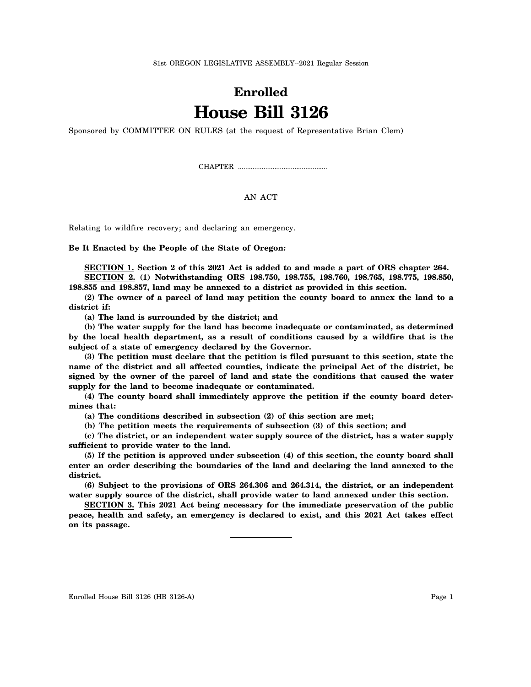81st OREGON LEGISLATIVE ASSEMBLY--2021 Regular Session

## **Enrolled House Bill 3126**

Sponsored by COMMITTEE ON RULES (at the request of Representative Brian Clem)

CHAPTER .................................................

## AN ACT

Relating to wildfire recovery; and declaring an emergency.

**Be It Enacted by the People of the State of Oregon:**

**SECTION 1. Section 2 of this 2021 Act is added to and made a part of ORS chapter 264. SECTION 2. (1) Notwithstanding ORS 198.750, 198.755, 198.760, 198.765, 198.775, 198.850,**

**198.855 and 198.857, land may be annexed to a district as provided in this section.**

**(2) The owner of a parcel of land may petition the county board to annex the land to a district if:**

**(a) The land is surrounded by the district; and**

**(b) The water supply for the land has become inadequate or contaminated, as determined by the local health department, as a result of conditions caused by a wildfire that is the subject of a state of emergency declared by the Governor.**

**(3) The petition must declare that the petition is filed pursuant to this section, state the name of the district and all affected counties, indicate the principal Act of the district, be signed by the owner of the parcel of land and state the conditions that caused the water supply for the land to become inadequate or contaminated.**

**(4) The county board shall immediately approve the petition if the county board determines that:**

**(a) The conditions described in subsection (2) of this section are met;**

**(b) The petition meets the requirements of subsection (3) of this section; and**

**(c) The district, or an independent water supply source of the district, has a water supply sufficient to provide water to the land.**

**(5) If the petition is approved under subsection (4) of this section, the county board shall enter an order describing the boundaries of the land and declaring the land annexed to the district.**

**(6) Subject to the provisions of ORS 264.306 and 264.314, the district, or an independent water supply source of the district, shall provide water to land annexed under this section.**

**SECTION 3. This 2021 Act being necessary for the immediate preservation of the public peace, health and safety, an emergency is declared to exist, and this 2021 Act takes effect on its passage.**